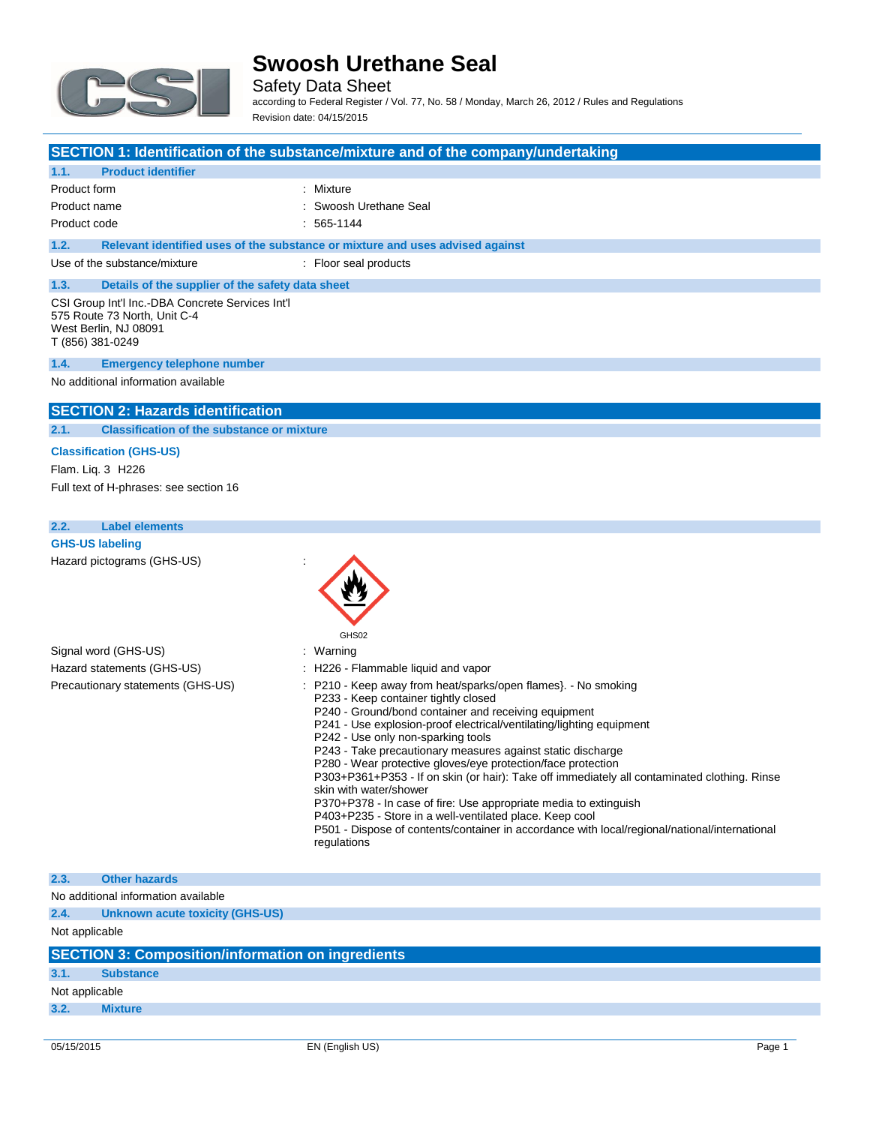

Safety Data Sheet according to Federal Register / Vol. 77, No. 58 / Monday, March 26, 2012 / Rules and Regulations Revision date: 04/15/2015

### **SECTION 1: Identification of the substance/mixture and of the company/undertaking**

## **1.1. Product identifier**

| Product form |                                                                               | : Mixture              |  |  |
|--------------|-------------------------------------------------------------------------------|------------------------|--|--|
| Product name |                                                                               | : Swoosh Urethane Seal |  |  |
| Product code |                                                                               | : 565-1144             |  |  |
| 1.2.         | Relevant identified uses of the substance or mixture and uses advised against |                        |  |  |
|              |                                                                               |                        |  |  |

Use of the substance/mixture : Floor seal products

## **1.3. Details of the supplier of the safety data sheet**

CSI Group Int'l Inc.-DBA Concrete Services Int'l 575 Route 73 North, Unit C-4 West Berlin, NJ 08091 T (856) 381-0249

### **1.4. Emergency telephone number**

No additional information available

### **SECTION 2: Hazards identification**

**2.1. Classification of the substance or mixture**

## **Classification (GHS-US)**

Flam. Liq. 3 H226 Full text of H-phrases: see section 16

### **2.2. Label elements**

Hazard pictograms (GHS-US) :



P370+P378 - In case of fire: Use appropriate media to extinguish

P403+P235 - Store in a well-ventilated place. Keep cool P501 - Dispose of contents/container in accordance with local/regional/national/international regulations

## **2.3. Other hazards** No additional information available **2.4. Unknown acute toxicity (GHS-US)** Not applicable **SECTION 3: Composition/information on ingredients**

**3.1. Substance**

Not applicable

**3.2. Mixture**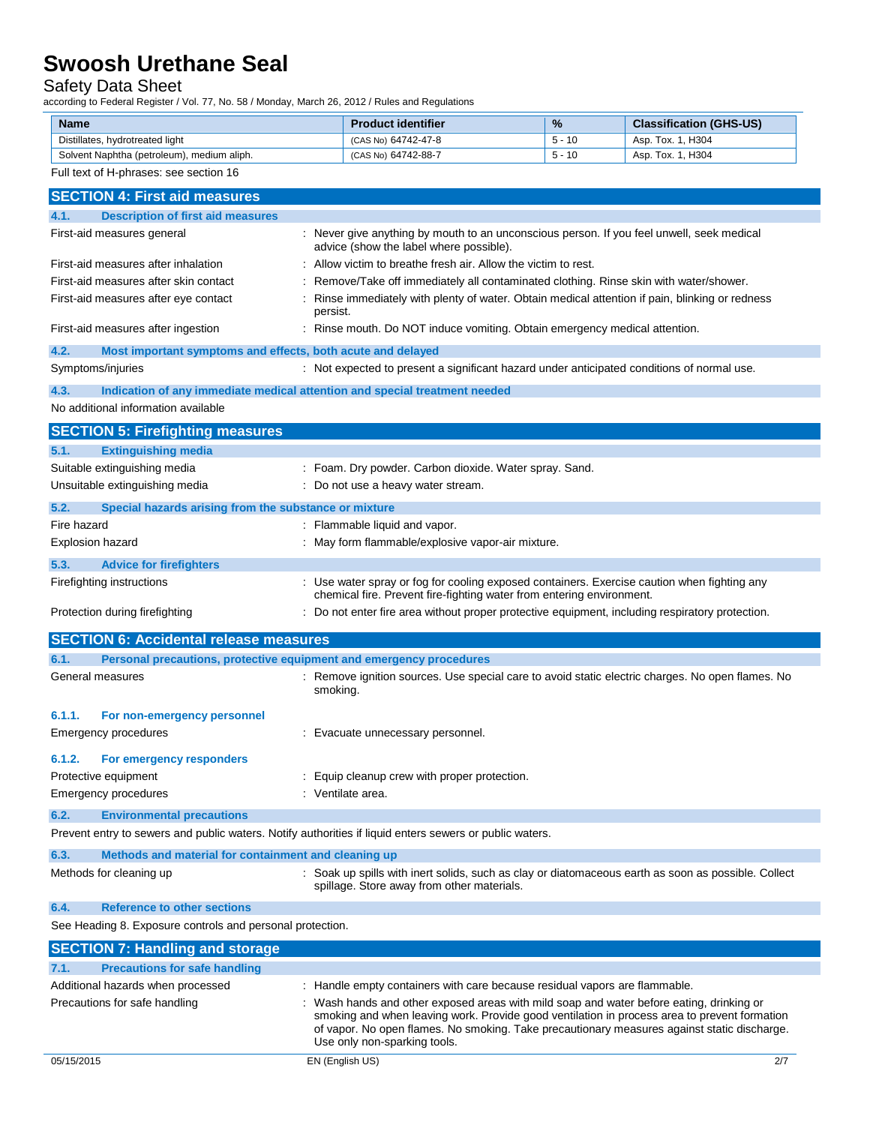## Safety Data Sheet

according to Federal Register / Vol. 77, No. 58 / Monday, March 26, 2012 / Rules and Regulations

| <b>Name</b>                                | <b>Product identifier</b> | $\frac{9}{6}$ | <b>Classification (GHS-US)</b> |
|--------------------------------------------|---------------------------|---------------|--------------------------------|
| Distillates, hydrotreated light            | (CAS No) 64742-47-8       | $5 - 10$      | Asp. Tox. 1. H304              |
| Solvent Naphtha (petroleum), medium aliph. | (CAS No) 64742-88-7       | $5 - 10$      | Asp. Tox. 1, H304              |

### Full text of H-phrases: see section 16

| <b>SECTION 4: First aid measures</b>                                |                                                                                                                                                                                                                                                                                                                       |
|---------------------------------------------------------------------|-----------------------------------------------------------------------------------------------------------------------------------------------------------------------------------------------------------------------------------------------------------------------------------------------------------------------|
| <b>Description of first aid measures</b><br>4.1.                    |                                                                                                                                                                                                                                                                                                                       |
| First-aid measures general                                          | : Never give anything by mouth to an unconscious person. If you feel unwell, seek medical<br>advice (show the label where possible).                                                                                                                                                                                  |
| First-aid measures after inhalation                                 | : Allow victim to breathe fresh air. Allow the victim to rest.                                                                                                                                                                                                                                                        |
| First-aid measures after skin contact                               | : Remove/Take off immediately all contaminated clothing. Rinse skin with water/shower.                                                                                                                                                                                                                                |
| First-aid measures after eye contact                                | Rinse immediately with plenty of water. Obtain medical attention if pain, blinking or redness<br>persist.                                                                                                                                                                                                             |
| First-aid measures after ingestion                                  | : Rinse mouth. Do NOT induce vomiting. Obtain emergency medical attention.                                                                                                                                                                                                                                            |
| 4.2.<br>Most important symptoms and effects, both acute and delayed |                                                                                                                                                                                                                                                                                                                       |
| Symptoms/injuries                                                   | : Not expected to present a significant hazard under anticipated conditions of normal use.                                                                                                                                                                                                                            |
| 4.3.                                                                | Indication of any immediate medical attention and special treatment needed                                                                                                                                                                                                                                            |
| No additional information available                                 |                                                                                                                                                                                                                                                                                                                       |
| <b>SECTION 5: Firefighting measures</b>                             |                                                                                                                                                                                                                                                                                                                       |
| <b>Extinguishing media</b><br>5.1.                                  |                                                                                                                                                                                                                                                                                                                       |
| Suitable extinguishing media                                        | : Foam. Dry powder. Carbon dioxide. Water spray. Sand.                                                                                                                                                                                                                                                                |
| Unsuitable extinguishing media                                      | : Do not use a heavy water stream.                                                                                                                                                                                                                                                                                    |
| 5.2.<br>Special hazards arising from the substance or mixture       |                                                                                                                                                                                                                                                                                                                       |
| Fire hazard                                                         | : Flammable liquid and vapor.                                                                                                                                                                                                                                                                                         |
| <b>Explosion hazard</b>                                             | : May form flammable/explosive vapor-air mixture.                                                                                                                                                                                                                                                                     |
|                                                                     |                                                                                                                                                                                                                                                                                                                       |
| 5.3.<br><b>Advice for firefighters</b>                              |                                                                                                                                                                                                                                                                                                                       |
| Firefighting instructions                                           | : Use water spray or fog for cooling exposed containers. Exercise caution when fighting any<br>chemical fire. Prevent fire-fighting water from entering environment.                                                                                                                                                  |
| Protection during firefighting                                      | : Do not enter fire area without proper protective equipment, including respiratory protection.                                                                                                                                                                                                                       |
|                                                                     |                                                                                                                                                                                                                                                                                                                       |
|                                                                     |                                                                                                                                                                                                                                                                                                                       |
| <b>SECTION 6: Accidental release measures</b>                       |                                                                                                                                                                                                                                                                                                                       |
| 6.1.<br>General measures                                            | Personal precautions, protective equipment and emergency procedures<br>: Remove ignition sources. Use special care to avoid static electric charges. No open flames. No<br>smoking.                                                                                                                                   |
|                                                                     |                                                                                                                                                                                                                                                                                                                       |
| 6.1.1.<br>For non-emergency personnel                               |                                                                                                                                                                                                                                                                                                                       |
| Emergency procedures                                                | : Evacuate unnecessary personnel.                                                                                                                                                                                                                                                                                     |
| 6.1.2.<br>For emergency responders                                  |                                                                                                                                                                                                                                                                                                                       |
| Protective equipment                                                | Equip cleanup crew with proper protection.                                                                                                                                                                                                                                                                            |
| <b>Emergency procedures</b>                                         | : Ventilate area.                                                                                                                                                                                                                                                                                                     |
| 6.2.<br><b>Environmental precautions</b>                            |                                                                                                                                                                                                                                                                                                                       |
|                                                                     | Prevent entry to sewers and public waters. Notify authorities if liquid enters sewers or public waters.                                                                                                                                                                                                               |
| 6.3.<br>Methods and material for containment and cleaning up        |                                                                                                                                                                                                                                                                                                                       |
| Methods for cleaning up                                             | : Soak up spills with inert solids, such as clay or diatomaceous earth as soon as possible. Collect<br>spillage. Store away from other materials.                                                                                                                                                                     |
| 6.4.<br><b>Reference to other sections</b>                          |                                                                                                                                                                                                                                                                                                                       |
| See Heading 8. Exposure controls and personal protection.           |                                                                                                                                                                                                                                                                                                                       |
| <b>SECTION 7: Handling and storage</b>                              |                                                                                                                                                                                                                                                                                                                       |
| 7.1.<br><b>Precautions for safe handling</b>                        |                                                                                                                                                                                                                                                                                                                       |
| Additional hazards when processed                                   | : Handle empty containers with care because residual vapors are flammable.                                                                                                                                                                                                                                            |
| Precautions for safe handling                                       | Wash hands and other exposed areas with mild soap and water before eating, drinking or<br>smoking and when leaving work. Provide good ventilation in process area to prevent formation<br>of vapor. No open flames. No smoking. Take precautionary measures against static discharge.<br>Use only non-sparking tools. |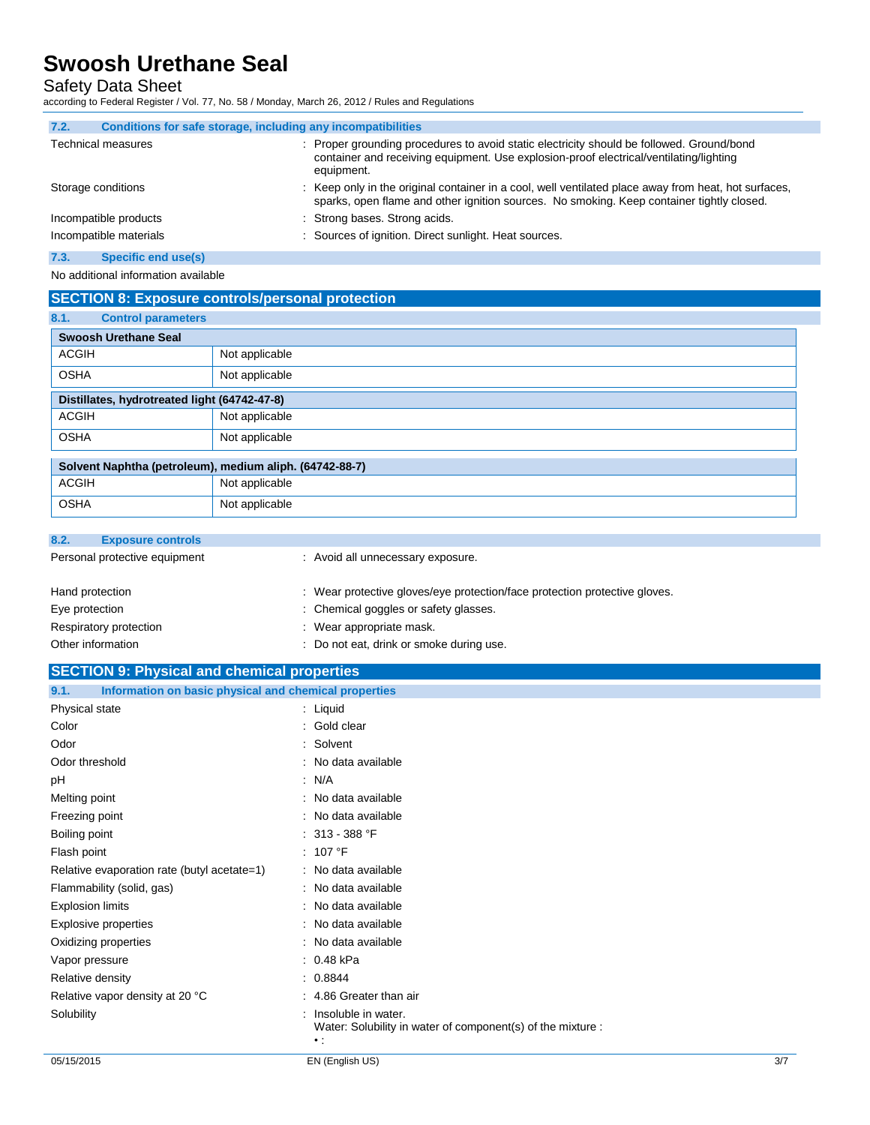Safety Data Sheet

according to Federal Register / Vol. 77, No. 58 / Monday, March 26, 2012 / Rules and Regulations

| 7.2.<br>Conditions for safe storage, including any incompatibilities |                                                                                                                                                                                                   |
|----------------------------------------------------------------------|---------------------------------------------------------------------------------------------------------------------------------------------------------------------------------------------------|
| <b>Technical measures</b>                                            | : Proper grounding procedures to avoid static electricity should be followed. Ground/bond<br>container and receiving equipment. Use explosion-proof electrical/ventilating/lighting<br>equipment. |
| Storage conditions                                                   | : Keep only in the original container in a cool, well ventilated place away from heat, hot surfaces,<br>sparks, open flame and other ignition sources. No smoking. Keep container tightly closed. |
| Incompatible products                                                | : Strong bases. Strong acids.                                                                                                                                                                     |
| Incompatible materials                                               | : Sources of ignition. Direct sunlight. Heat sources.                                                                                                                                             |
| 7.3.<br>Specific end use(s)                                          |                                                                                                                                                                                                   |

No additional information available

## **SECTION 8: Exposure controls/personal protection**

| 8.1.        | <b>Control parameters</b>                               |                |  |
|-------------|---------------------------------------------------------|----------------|--|
|             | <b>Swoosh Urethane Seal</b>                             |                |  |
| ACGIH       |                                                         | Not applicable |  |
| <b>OSHA</b> |                                                         | Not applicable |  |
|             | Distillates, hydrotreated light (64742-47-8)            |                |  |
| ACGIH       |                                                         | Not applicable |  |
| <b>OSHA</b> |                                                         | Not applicable |  |
|             | Solvent Naphtha (petroleum), medium aliph. (64742-88-7) |                |  |
| ACGIH       |                                                         | Not applicable |  |
| <b>OSHA</b> |                                                         | Not applicable |  |

### **8.2. Exposure controls**

| Personal protective equipment | : Avoid all unnecessary exposure.                                          |
|-------------------------------|----------------------------------------------------------------------------|
| Hand protection               | : Wear protective gloves/eye protection/face protection protective gloves. |
| Eye protection                | : Chemical goggles or safety glasses.                                      |
| Respiratory protection        | : Wear appropriate mask.                                                   |
| Other information             | : Do not eat, drink or smoke during use.                                   |

## **SECTION 9: Physical and chemical properties**

| Information on basic physical and chemical properties<br>9.1. |                                                                                                     |
|---------------------------------------------------------------|-----------------------------------------------------------------------------------------------------|
| Physical state                                                | : Liquid                                                                                            |
| Color                                                         | : Gold clear                                                                                        |
| Odor                                                          | : Solvent                                                                                           |
| Odor threshold                                                | : No data available                                                                                 |
| рH                                                            | : N/A                                                                                               |
| Melting point                                                 | : No data available                                                                                 |
| Freezing point                                                | : No data available                                                                                 |
| Boiling point                                                 | : 313 - 388 $\degree$ F                                                                             |
| Flash point                                                   | : 107 °F                                                                                            |
| Relative evaporation rate (butyl acetate=1)                   | : No data available                                                                                 |
| Flammability (solid, gas)                                     | : No data available                                                                                 |
| <b>Explosion limits</b>                                       | : No data available                                                                                 |
| Explosive properties                                          | : No data available                                                                                 |
| Oxidizing properties                                          | : No data available                                                                                 |
| Vapor pressure                                                | : 0.48 kPa                                                                                          |
| Relative density                                              | : 0.8844                                                                                            |
| Relative vapor density at 20 °C                               | : 4.86 Greater than air                                                                             |
| Solubility                                                    | : Insoluble in water.<br>Water: Solubility in water of component(s) of the mixture :<br>$\bullet$ : |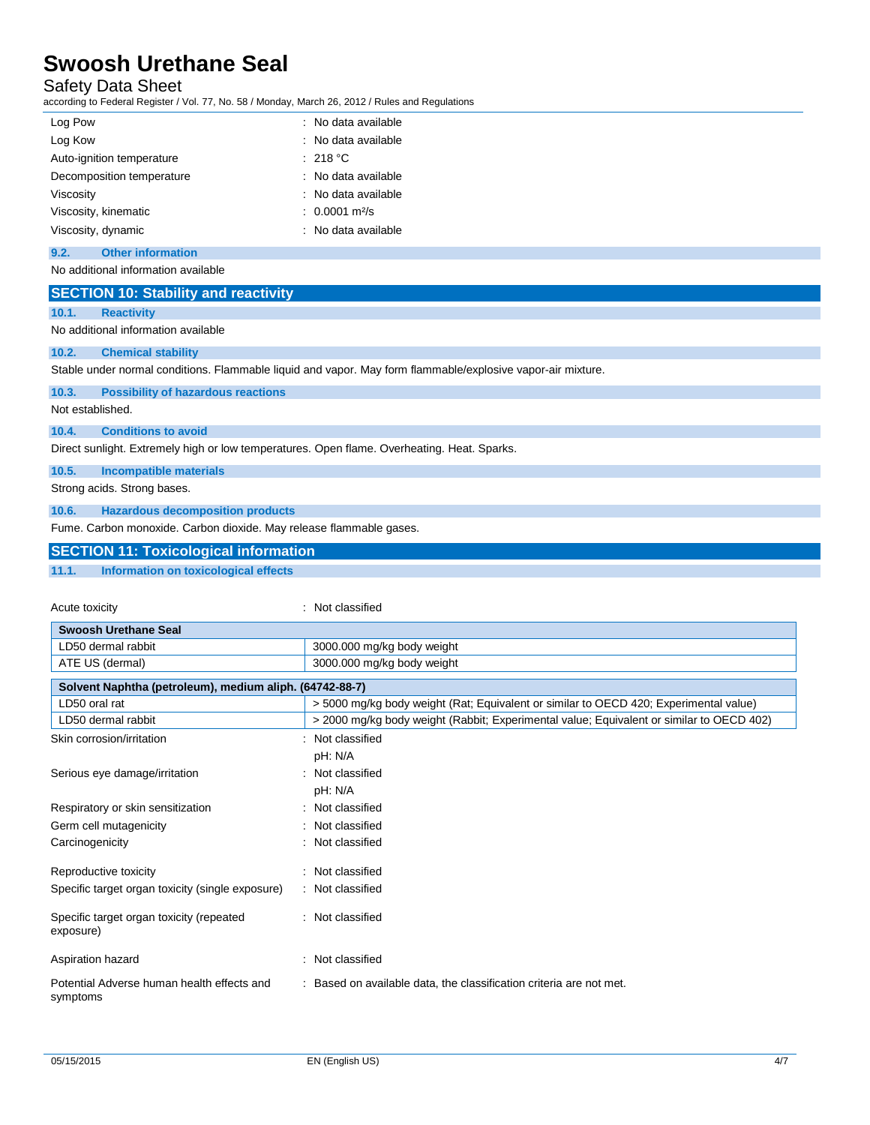## Safety Data Sheet

according to Federal Register / Vol. 77, No. 58 / Monday, March 26, 2012 / Rules and Regulations

| Log Pow                   | : No data available             |
|---------------------------|---------------------------------|
| Log Kow                   | : No data available             |
| Auto-ignition temperature | : 218 °C                        |
| Decomposition temperature | : No data available             |
| Viscosity                 | : No data available             |
| Viscosity, kinematic      | $: 0.0001 \text{ m}^2\text{/s}$ |
| Viscosity, dynamic        | : No data available             |

#### **9.2. Other information**

No additional information available

| <b>SECTION 10: Stability and reactivity</b>                                                 |                                                                                                             |
|---------------------------------------------------------------------------------------------|-------------------------------------------------------------------------------------------------------------|
| 10.1.<br><b>Reactivity</b>                                                                  |                                                                                                             |
| No additional information available                                                         |                                                                                                             |
| 10.2.<br><b>Chemical stability</b>                                                          |                                                                                                             |
|                                                                                             | Stable under normal conditions. Flammable liquid and vapor. May form flammable/explosive vapor-air mixture. |
| 10.3.<br><b>Possibility of hazardous reactions</b>                                          |                                                                                                             |
| Not established.                                                                            |                                                                                                             |
| 10.4.<br><b>Conditions to avoid</b>                                                         |                                                                                                             |
| Direct sunlight. Extremely high or low temperatures. Open flame. Overheating. Heat. Sparks. |                                                                                                             |
| 10.5.<br><b>Incompatible materials</b>                                                      |                                                                                                             |
| Strong acids. Strong bases.                                                                 |                                                                                                             |
| 10.6.<br><b>Hazardous decomposition products</b>                                            |                                                                                                             |
| Fume. Carbon monoxide. Carbon dioxide. May release flammable gases.                         |                                                                                                             |
| <b>SECTION 11: Toxicological information</b>                                                |                                                                                                             |
| 11.1.<br><b>Information on toxicological effects</b>                                        |                                                                                                             |
|                                                                                             |                                                                                                             |
| Acute toxicity                                                                              | : Not classified                                                                                            |
| <b>Swoosh Urethane Seal</b>                                                                 |                                                                                                             |
| LD50 dermal rabbit                                                                          | 3000.000 mg/kg body weight                                                                                  |
| ATE US (dermal)                                                                             | 3000.000 mg/kg body weight                                                                                  |
| Solvent Naphtha (petroleum), medium aliph. (64742-88-7)                                     |                                                                                                             |
| LD50 oral rat                                                                               | > 5000 mg/kg body weight (Rat; Equivalent or similar to OECD 420; Experimental value)                       |
| LD50 dermal rabbit                                                                          | > 2000 mg/kg body weight (Rabbit; Experimental value; Equivalent or similar to OECD 402)                    |
| Skin corrosion/irritation                                                                   | : Not classified                                                                                            |
|                                                                                             | pH: N/A                                                                                                     |
| Serious eye damage/irritation                                                               | : Not classified                                                                                            |
|                                                                                             | pH: N/A                                                                                                     |
| Respiratory or skin sensitization                                                           | : Not classified                                                                                            |
| Germ cell mutagenicity                                                                      | : Not classified                                                                                            |
| Carcinogenicity                                                                             | : Not classified                                                                                            |
| Reproductive toxicity                                                                       | : Not classified                                                                                            |
| Specific target organ toxicity (single exposure)                                            | : Not classified                                                                                            |
| Specific target organ toxicity (repeated<br>exposure)                                       | : Not classified                                                                                            |
| Aspiration hazard                                                                           | : Not classified                                                                                            |
| Potential Adverse human health effects and<br>symptoms                                      | : Based on available data, the classification criteria are not met.                                         |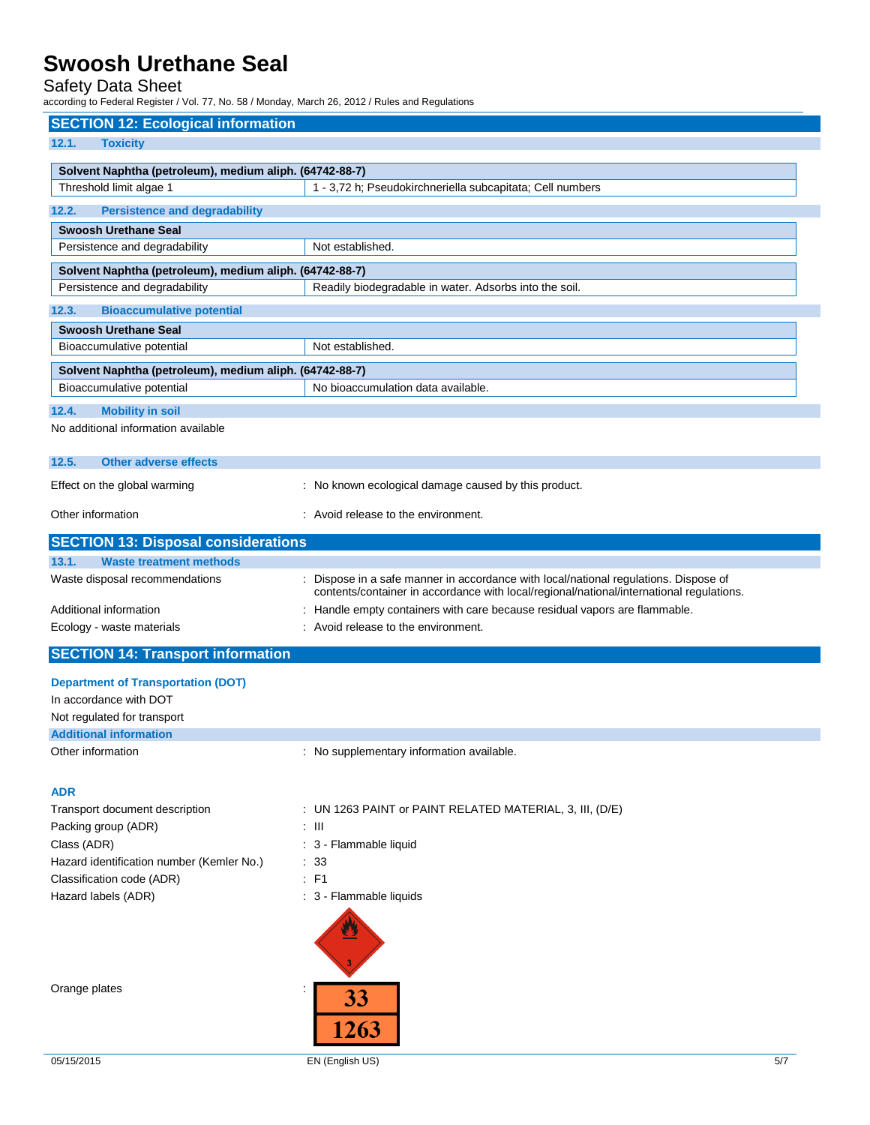## Safety Data Sheet

according to Federal Register / Vol. 77, No. 58 / Monday, March 26, 2012 / Rules and Regulations

| <b>SECTION 12: Ecological information</b>                                             |                                                                                          |
|---------------------------------------------------------------------------------------|------------------------------------------------------------------------------------------|
| 12.1.<br><b>Toxicity</b>                                                              |                                                                                          |
| Solvent Naphtha (petroleum), medium aliph. (64742-88-7)                               |                                                                                          |
| Threshold limit algae 1                                                               | 1 - 3,72 h; Pseudokirchneriella subcapitata; Cell numbers                                |
| 12.2.<br><b>Persistence and degradability</b>                                         |                                                                                          |
| <b>Swoosh Urethane Seal</b>                                                           |                                                                                          |
| Persistence and degradability                                                         | Not established.                                                                         |
| Solvent Naphtha (petroleum), medium aliph. (64742-88-7)                               |                                                                                          |
| Persistence and degradability                                                         | Readily biodegradable in water. Adsorbs into the soil.                                   |
| <b>Bioaccumulative potential</b><br>12.3.                                             |                                                                                          |
| <b>Swoosh Urethane Seal</b>                                                           |                                                                                          |
| Bioaccumulative potential                                                             | Not established.                                                                         |
| Solvent Naphtha (petroleum), medium aliph. (64742-88-7)                               |                                                                                          |
| Bioaccumulative potential                                                             | No bioaccumulation data available.                                                       |
| <b>Mobility in soil</b><br>12.4.                                                      |                                                                                          |
| No additional information available                                                   |                                                                                          |
|                                                                                       |                                                                                          |
| 12.5.<br><b>Other adverse effects</b>                                                 |                                                                                          |
| Effect on the global warming                                                          | : No known ecological damage caused by this product.                                     |
| Other information                                                                     | : Avoid release to the environment.                                                      |
|                                                                                       |                                                                                          |
| <b>SECTION 13: Disposal considerations</b><br>13.1.<br><b>Waste treatment methods</b> |                                                                                          |
| Waste disposal recommendations                                                        | Dispose in a safe manner in accordance with local/national regulations. Dispose of       |
|                                                                                       | contents/container in accordance with local/regional/national/international regulations. |
| Additional information                                                                | : Handle empty containers with care because residual vapors are flammable.               |
| Ecology - waste materials                                                             | : Avoid release to the environment.                                                      |
| <b>SECTION 14: Transport information</b>                                              |                                                                                          |
| <b>Department of Transportation (DOT)</b>                                             |                                                                                          |
| In accordance with DOT                                                                |                                                                                          |
| Not regulated for transport                                                           |                                                                                          |
| <b>Additional information</b>                                                         |                                                                                          |
| Other information                                                                     | : No supplementary information available.                                                |
|                                                                                       |                                                                                          |
| <b>ADR</b>                                                                            |                                                                                          |
| Transport document description<br>Packing group (ADR)                                 | : UN 1263 PAINT or PAINT RELATED MATERIAL, 3, III, (D/E)<br>$\pm$ 111                    |
| Class (ADR)                                                                           | : 3 - Flammable liquid                                                                   |
| Hazard identification number (Kemler No.)                                             | $\therefore$ 33                                                                          |
| Classification code (ADR)                                                             | $E$ F1                                                                                   |
| Hazard labels (ADR)                                                                   | : 3 - Flammable liquids                                                                  |
|                                                                                       |                                                                                          |
| Orange plates                                                                         | 33<br>1263                                                                               |

05/15/2015 EN (English US) 5/7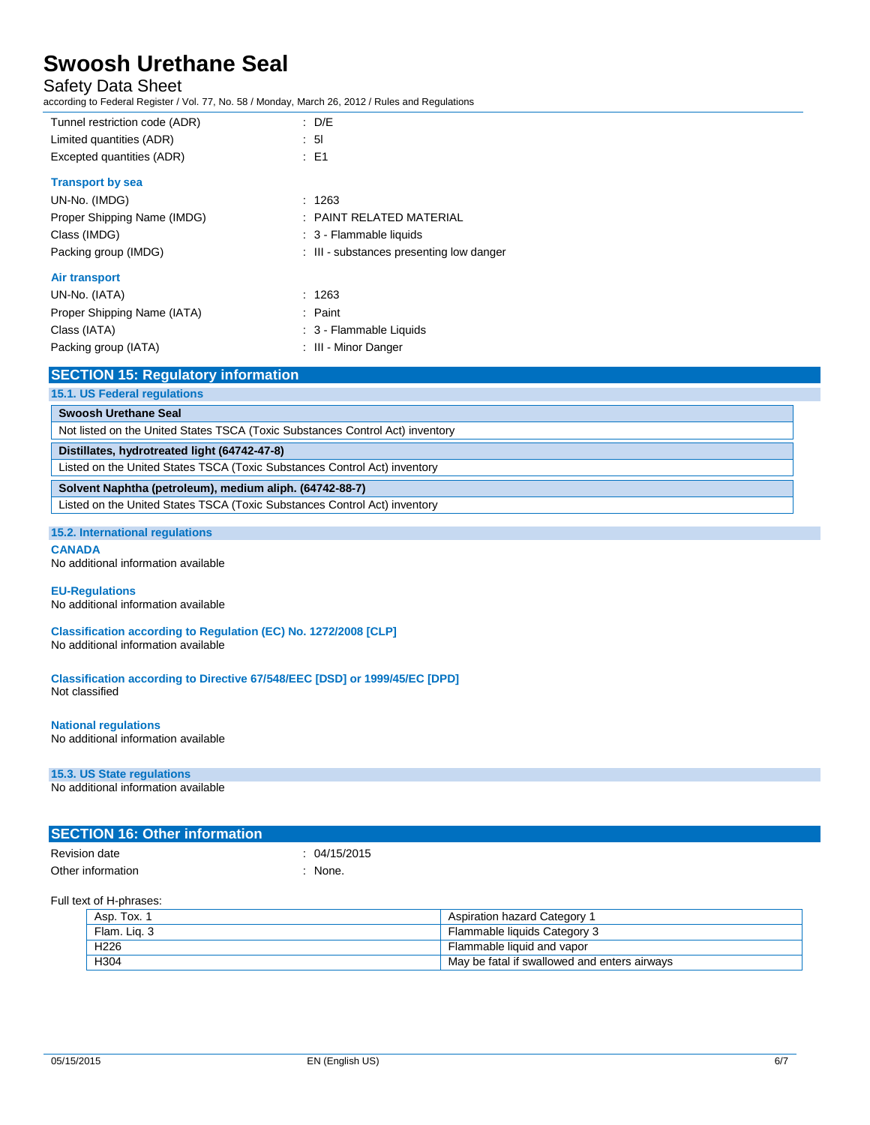## Safety Data Sheet

according to Federal Register / Vol. 77, No. 58 / Monday, March 26, 2012 / Rules and Regulations

| Tunnel restriction code (ADR)                                             | $\therefore$ D/E                                                              |
|---------------------------------------------------------------------------|-------------------------------------------------------------------------------|
| Limited quantities (ADR)                                                  | : 51                                                                          |
| Excepted quantities (ADR)                                                 | $\therefore$ E1                                                               |
| <b>Transport by sea</b>                                                   |                                                                               |
| UN-No. (IMDG)                                                             | : 1263                                                                        |
| Proper Shipping Name (IMDG)                                               | PAINT RELATED MATERIAL                                                        |
| Class (IMDG)                                                              | : 3 - Flammable liquids                                                       |
| Packing group (IMDG)                                                      | : III - substances presenting low danger                                      |
| Air transport                                                             |                                                                               |
| UN-No. (IATA)                                                             | : 1263                                                                        |
| Proper Shipping Name (IATA)                                               | : Paint                                                                       |
| Class (IATA)                                                              | : 3 - Flammable Liquids                                                       |
| Packing group (IATA)                                                      | : III - Minor Danger                                                          |
| <b>SECTION 15: Regulatory information</b>                                 |                                                                               |
| 15.1. US Federal regulations                                              |                                                                               |
| <b>Swoosh Urethane Seal</b>                                               |                                                                               |
|                                                                           | Not listed on the United States TSCA (Toxic Substances Control Act) inventory |
| Distillates, hydrotreated light (64742-47-8)                              |                                                                               |
| Listed on the United States TSCA (Toxic Substances Control Act) inventory |                                                                               |
| Solvent Naphtha (petroleum), medium aliph. (64742-88-7)                   |                                                                               |

Listed on the United States TSCA (Toxic Substances Control Act) inventory

### **15.2. International regulations**

**CANADA**

No additional information available

### **EU-Regulations**

No additional information available

**Classification according to Regulation (EC) No. 1272/2008 [CLP]** No additional information available

**Classification according to Directive 67/548/EEC [DSD] or 1999/45/EC [DPD]** Not classified

#### **National regulations** No additional information available

## **15.3. US State regulations**

No additional information available

| <b>SECTION 16: Other information</b> |            |
|--------------------------------------|------------|
| Revision date                        | 04/15/2015 |
| Other information                    | None.      |

### Full text of H-phrases:

| Asp. Tox.        | Aspiration hazard Category 1                   |
|------------------|------------------------------------------------|
| Flam, Lig. 3     | Flammable liquids Category 3                   |
| H <sub>226</sub> | Flammable liquid and vapor                     |
| H304             | . May be fatal if swallowed and enters airways |